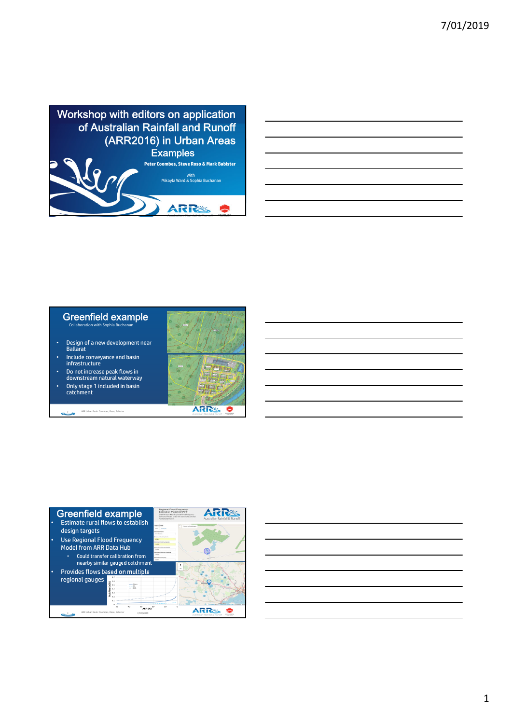

| <u> 1989 - Andrea Santa Andrea Andrea Andrea Andrea Andrea Andrea Andrea Andrea Andrea Andrea Andrea Andrea Andr</u> |  |  |
|----------------------------------------------------------------------------------------------------------------------|--|--|
| <u> 1989 - Andrea Andrew Maria (h. 1989).</u>                                                                        |  |  |
| <u> 1989 - Andrea Andrew Maria (h. 1989).</u>                                                                        |  |  |
|                                                                                                                      |  |  |
| <u> 1989 - Andrea Andrew Maria (h. 1989).</u>                                                                        |  |  |
| <u> 1989 - Andrea Andrew Maria (h. 1989).</u>                                                                        |  |  |
|                                                                                                                      |  |  |
|                                                                                                                      |  |  |

## Greenfield example Collaboration with Sophia Buchanan

- Design of a new development near Ballarat
- Include conveyance and basin infrastructure
- Do not increase peak flows in downstream natural waterway
- Only stage 1 included in basin catchment

ARR Urban Book: Coombes, Roso, Babister





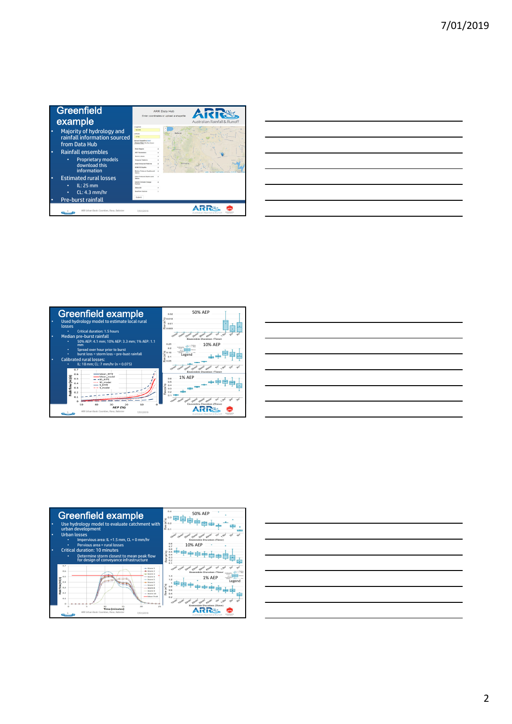|   | Greenfield<br>example                                                                                  |                                                                                                                                                                                     | <b>ARR Data Hub</b><br><b>GIRL</b><br>Enter coordinates or upload a shapefile<br>Australian Rainfall & Runof |
|---|--------------------------------------------------------------------------------------------------------|-------------------------------------------------------------------------------------------------------------------------------------------------------------------------------------|--------------------------------------------------------------------------------------------------------------|
|   | Majority of hydrology and<br>rainfall information sourced<br>from Data Hub                             | Longitude<br>144,005<br>Letthurle<br>$-3763$<br><b>Intrast Sharefile Intern</b><br>Choose Files 110 The choose                                                                      |                                                                                                              |
| ٠ | Rainfall ensembles<br><b>Proprietary models</b><br>download this<br>information                        | <b>Rower Region</b><br><b>ARF Parameters</b><br><b>Income Loanes</b><br><b>Temporal Enteres</b><br>Annat Terrory of Patterns<br><b>DOM ITD Deaths</b><br>Median Preburnt Depths and |                                                                                                              |
|   | <b>Estimated rural losses</b><br>$IL: 25$ mm<br>٠<br>$CL: 4.3$ mm/hr<br>٠<br><b>Pre-burst rainfall</b> | <b>Battery</b><br><b>Collar Elaborat Faculta and</b><br>Sature<br>Interim Climate Change<br>Eactors<br>Select All<br><b>Resetting Factors</b><br>Submit                             |                                                                                                              |
|   | ARR Urban Book: Coombes, Roso, Babister                                                                | 7/01/2019                                                                                                                                                                           |                                                                                                              |

|                                                                                                                                                                                                                                      |  | ____ |
|--------------------------------------------------------------------------------------------------------------------------------------------------------------------------------------------------------------------------------------|--|------|
|                                                                                                                                                                                                                                      |  |      |
|                                                                                                                                                                                                                                      |  |      |
| <u> Andreas Andreas Andreas Andreas Andreas Andreas Andreas Andreas Andreas Andreas Andreas Andreas Andreas Andreas Andreas Andreas Andreas Andreas Andreas Andreas Andreas Andreas Andreas Andreas Andreas Andreas Andreas Andr</u> |  |      |
|                                                                                                                                                                                                                                      |  |      |
|                                                                                                                                                                                                                                      |  |      |
|                                                                                                                                                                                                                                      |  |      |
|                                                                                                                                                                                                                                      |  |      |
|                                                                                                                                                                                                                                      |  | ___  |
|                                                                                                                                                                                                                                      |  |      |
|                                                                                                                                                                                                                                      |  |      |
|                                                                                                                                                                                                                                      |  |      |







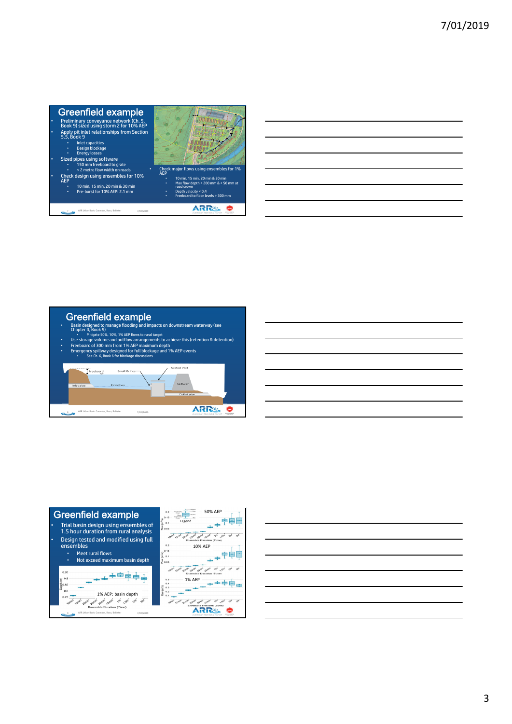

| Basin designed to manage flooding and impacts on downstream waterway (see<br>Chapter 4. Book 9)<br>Mitigate 50%, 10%, 1% AEP flows to rural target<br>Use storage volume and outflow arrangements to achieve this (retention & detention)<br>Freeboard of 300 mm from 1% AEP maximum depth<br>Emergency spillway designed for full blockage and 1% AEP events<br>See Ch. 6, Book 6 for blockage discussions |                                                |  |
|-------------------------------------------------------------------------------------------------------------------------------------------------------------------------------------------------------------------------------------------------------------------------------------------------------------------------------------------------------------------------------------------------------------|------------------------------------------------|--|
| reeboard<br>Small Orifice <sup>®</sup><br>Retention<br>Inlet pipe                                                                                                                                                                                                                                                                                                                                           | <b>Grated Inlet</b><br>Spillway<br>Outlet pipe |  |